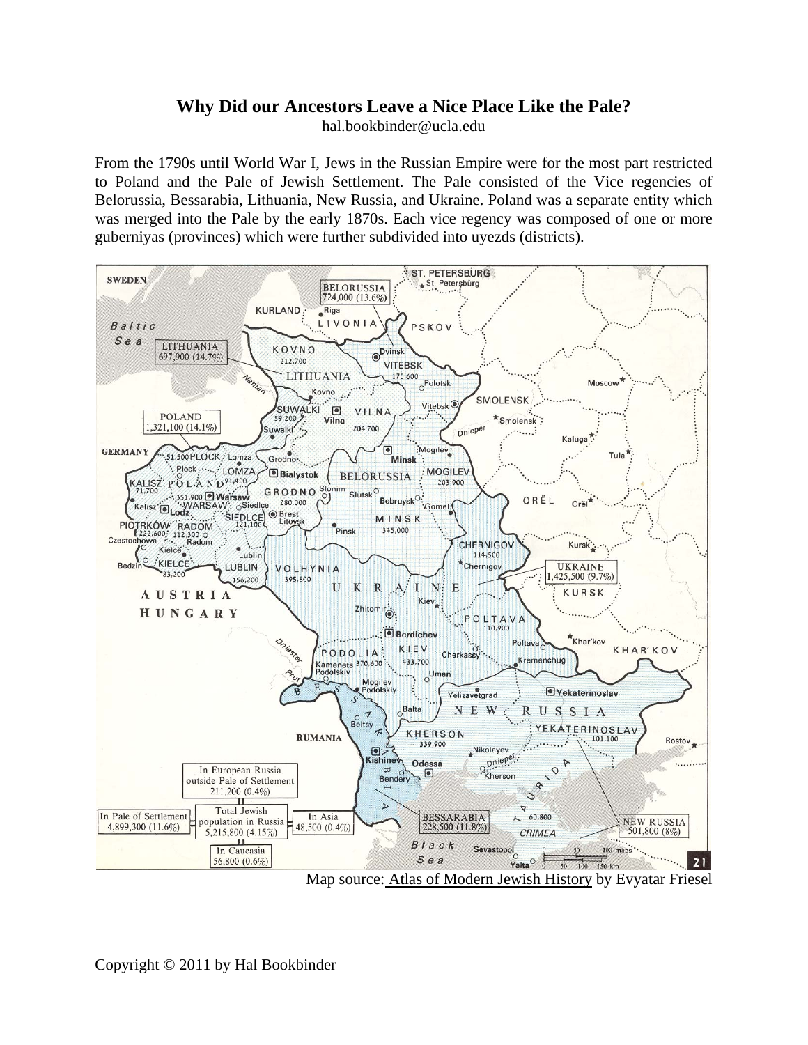## **Why Did our Ancestors Leave a Nice Place Like the Pale?**

hal.bookbinder@ucla.edu

From the 1790s until World War I, Jews in the Russian Empire were for the most part restricted to Poland and the Pale of Jewish Settlement. The Pale consisted of the Vice regencies of Belorussia, Bessarabia, Lithuania, New Russia, and Ukraine. Poland was a separate entity which was merged into the Pale by the early 1870s. Each vice regency was composed of one or more guberniyas (provinces) which were further subdivided into uyezds (districts).



Map source: Atlas of Modern Jewish History by Evyatar Friesel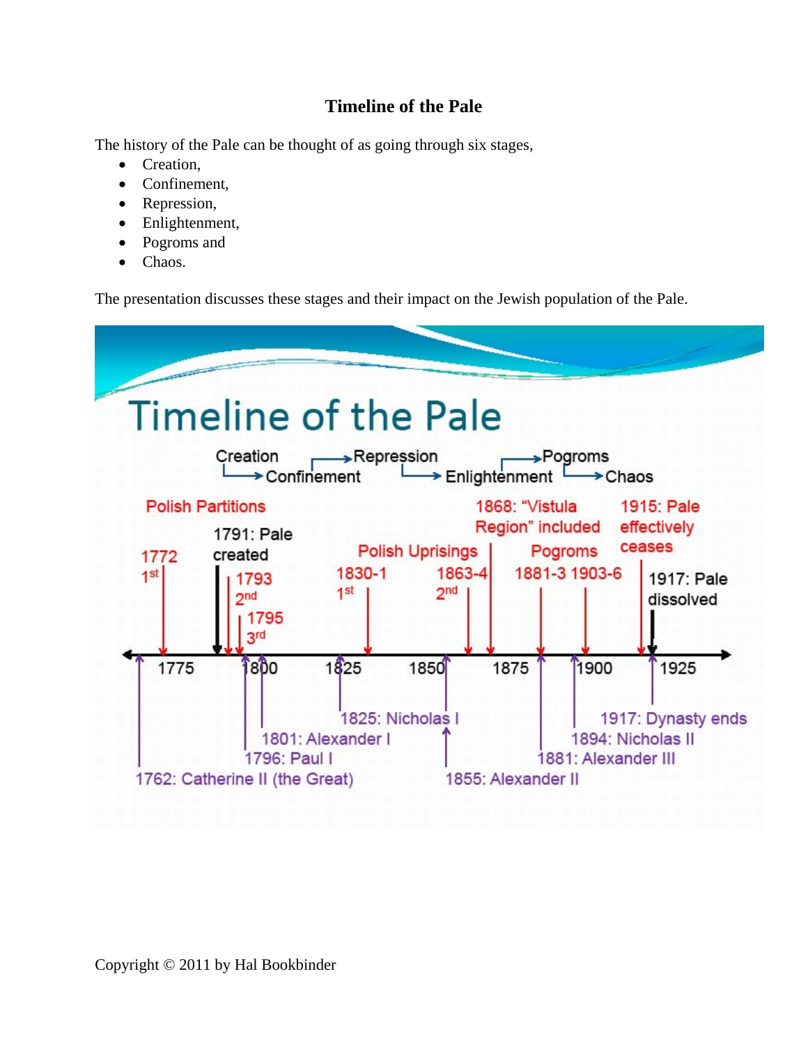## **Timeline of the Pale**

The history of the Pale can be thought of as going through six stages,

- Creation.
- Confinement.
- Repression,
- Enlightenment,
- Pogroms and
- Chaos.

The presentation discusses these stages and their impact on the Jewish population of the Pale.

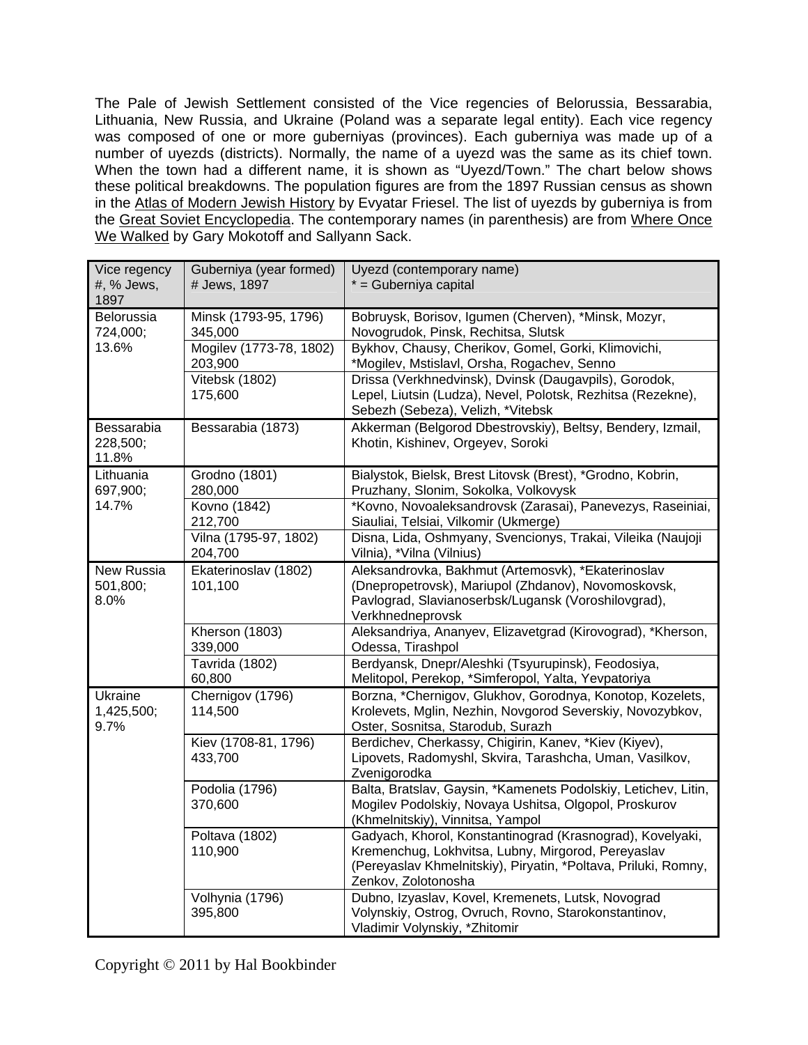The Pale of Jewish Settlement consisted of the Vice regencies of Belorussia, Bessarabia, Lithuania, New Russia, and Ukraine (Poland was a separate legal entity). Each vice regency was composed of one or more guberniyas (provinces). Each guberniya was made up of a number of uyezds (districts). Normally, the name of a uyezd was the same as its chief town. When the town had a different name, it is shown as "Uyezd/Town." The chart below shows these political breakdowns. The population figures are from the 1897 Russian census as shown in the Atlas of Modern Jewish History by Evyatar Friesel. The list of uyezds by guberniya is from the Great Soviet Encyclopedia. The contemporary names (in parenthesis) are from Where Once We Walked by Gary Mokotoff and Sallyann Sack.

| Vice regency<br>#, % Jews,<br>1897 | Guberniya (year formed)<br># Jews, 1897 | Uyezd (contemporary name)<br>* = Guberniya capital                                                                                                                                                       |
|------------------------------------|-----------------------------------------|----------------------------------------------------------------------------------------------------------------------------------------------------------------------------------------------------------|
| Belorussia<br>724,000;<br>13.6%    | Minsk (1793-95, 1796)<br>345,000        | Bobruysk, Borisov, Igumen (Cherven), *Minsk, Mozyr,<br>Novogrudok, Pinsk, Rechitsa, Slutsk                                                                                                               |
|                                    | Mogilev (1773-78, 1802)<br>203,900      | Bykhov, Chausy, Cherikov, Gomel, Gorki, Klimovichi,<br>*Mogilev, Mstislavl, Orsha, Rogachev, Senno                                                                                                       |
|                                    | Vitebsk (1802)<br>175,600               | Drissa (Verkhnedvinsk), Dvinsk (Daugavpils), Gorodok,<br>Lepel, Liutsin (Ludza), Nevel, Polotsk, Rezhitsa (Rezekne),<br>Sebezh (Sebeza), Velizh, *Vitebsk                                                |
| Bessarabia<br>228,500;<br>11.8%    | Bessarabia (1873)                       | Akkerman (Belgorod Dbestrovskiy), Beltsy, Bendery, Izmail,<br>Khotin, Kishinev, Orgeyev, Soroki                                                                                                          |
| Lithuania<br>697,900;              | Grodno (1801)<br>280,000                | Bialystok, Bielsk, Brest Litovsk (Brest), *Grodno, Kobrin,<br>Pruzhany, Slonim, Sokolka, Volkovysk                                                                                                       |
| 14.7%                              | Kovno (1842)<br>212,700                 | *Kovno, Novoaleksandrovsk (Zarasai), Panevezys, Raseiniai,<br>Siauliai, Telsiai, Vilkomir (Ukmerge)                                                                                                      |
|                                    | Vilna (1795-97, 1802)<br>204,700        | Disna, Lida, Oshmyany, Svencionys, Trakai, Vileika (Naujoji<br>Vilnia), *Vilna (Vilnius)                                                                                                                 |
| New Russia<br>501,800;<br>8.0%     | Ekaterinoslav (1802)<br>101,100         | Aleksandrovka, Bakhmut (Artemosvk), *Ekaterinoslav<br>(Dnepropetrovsk), Mariupol (Zhdanov), Novomoskovsk,<br>Pavlograd, Slavianoserbsk/Lugansk (Voroshilovgrad),<br>Verkhnedneprovsk                     |
|                                    | Kherson (1803)<br>339,000               | Aleksandriya, Ananyev, Elizavetgrad (Kirovograd), *Kherson,<br>Odessa, Tirashpol                                                                                                                         |
|                                    | Tavrida (1802)<br>60,800                | Berdyansk, Dnepr/Aleshki (Tsyurupinsk), Feodosiya,<br>Melitopol, Perekop, *Simferopol, Yalta, Yevpatoriya                                                                                                |
| Ukraine<br>1,425,500;<br>9.7%      | Chernigov (1796)<br>114,500             | Borzna, *Chernigov, Glukhov, Gorodnya, Konotop, Kozelets,<br>Krolevets, Mglin, Nezhin, Novgorod Severskiy, Novozybkov,<br>Oster, Sosnitsa, Starodub, Surazh                                              |
|                                    | Kiev (1708-81, 1796)<br>433,700         | Berdichev, Cherkassy, Chigirin, Kanev, *Kiev (Kiyev),<br>Lipovets, Radomyshl, Skvira, Tarashcha, Uman, Vasilkov,<br>Zvenigorodka                                                                         |
|                                    | Podolia (1796)<br>370,600               | Balta, Bratslav, Gaysin, *Kamenets Podolskiy, Letichev, Litin,<br>Mogilev Podolskiy, Novaya Ushitsa, Olgopol, Proskurov<br>(Khmelnitskiy), Vinnitsa, Yampol                                              |
|                                    | Poltava (1802)<br>110,900               | Gadyach, Khorol, Konstantinograd (Krasnograd), Kovelyaki,<br>Kremenchug, Lokhvitsa, Lubny, Mirgorod, Pereyaslav<br>(Pereyaslav Khmelnitskiy), Piryatin, *Poltava, Priluki, Romny,<br>Zenkov, Zolotonosha |
|                                    | Volhynia (1796)<br>395,800              | Dubno, Izyaslav, Kovel, Kremenets, Lutsk, Novograd<br>Volynskiy, Ostrog, Ovruch, Rovno, Starokonstantinov,<br>Vladimir Volynskiy, *Zhitomir                                                              |